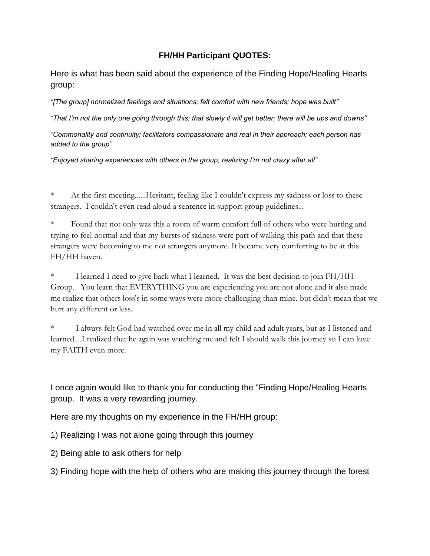## **FH/HH Participant QUOTES:**

Here is what has been said about the experience of the Finding Hope/Healing Hearts group:

*"[The group] normalized feelings and situations; felt comfort with new friends; hope was built"*

*"That I'm not the only one going through this; that slowly it will get better; there will be ups and downs"*

*"Commonality and continuity; facilitators compassionate and real in their approach; each person has added to the group"*

*"Enjoyed sharing experiences with others in the group; realizing I'm not crazy after all"*

At the first meeting......Hesitant, feeling like I couldn't express my sadness or loss to these strangers. I couldn't even read aloud a sentence in support group guidelines...

Found that not only was this a room of warm comfort full of others who were hurting and trying to feel normal and that my bursts of sadness were part of walking this path and that these strangers were becoming to me not strangers anymore. It became very comforting to be at this FH/HH haven.

I learned I need to give back what I learned. It was the best decision to join FH/HH Group. You learn that EVERYTHING you are experiencing you are not alone and it also made me realize that others loss's in some ways were more challenging than mine, but didn't mean that we hurt any different or less.

I always felt God had watched over me in all my child and adult years, but as I listened and learned....I realized that he again was watching me and felt I should walk this journey so I can love my FAITH even more.

I once again would like to thank you for conducting the "Finding Hope/Healing Hearts group. It was a very rewarding journey.

Here are my thoughts on my experience in the FH/HH group:

1) Realizing I was not alone going through this journey

2) Being able to ask others for help

3) Finding hope with the help of others who are making this journey through the forest